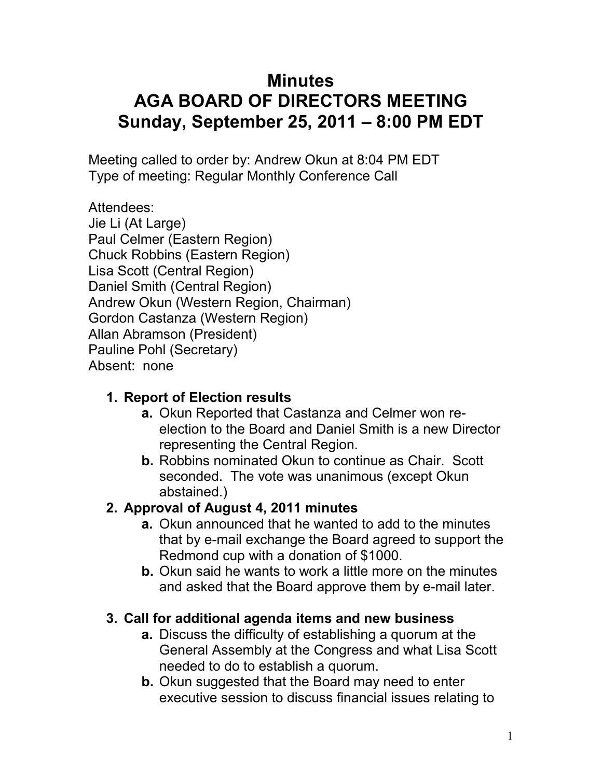# **Minutes AGA BOARD OF DIRECTORS MEETING Sunday, September 25, 2011 – 8:00 PM EDT**

Meeting called to order by: Andrew Okun at 8:04 PM EDT Type of meeting: Regular Monthly Conference Call

Attendees: Jie Li (At Large) Paul Celmer (Eastern Region) Chuck Robbins (Eastern Region) Lisa Scott (Central Region) Daniel Smith (Central Region) Andrew Okun (Western Region, Chairman) Gordon Castanza (Western Region) Allan Abramson (President) Pauline Pohl (Secretary) Absent: none

## **1. Report of Election results**

- **a.** Okun Reported that Castanza and Celmer won reelection to the Board and Daniel Smith is a new Director representing the Central Region.
- **b.** Robbins nominated Okun to continue as Chair. Scott seconded. The vote was unanimous (except Okun abstained.)

## **2. Approval of August 4, 2011 minutes**

- **a.** Okun announced that he wanted to add to the minutes that by e-mail exchange the Board agreed to support the Redmond cup with a donation of \$1000.
- **b.** Okun said he wants to work a little more on the minutes and asked that the Board approve them by e-mail later.

## **3. Call for additional agenda items and new business**

- **a.** Discuss the difficulty of establishing a quorum at the General Assembly at the Congress and what Lisa Scott needed to do to establish a quorum.
- **b.** Okun suggested that the Board may need to enter executive session to discuss financial issues relating to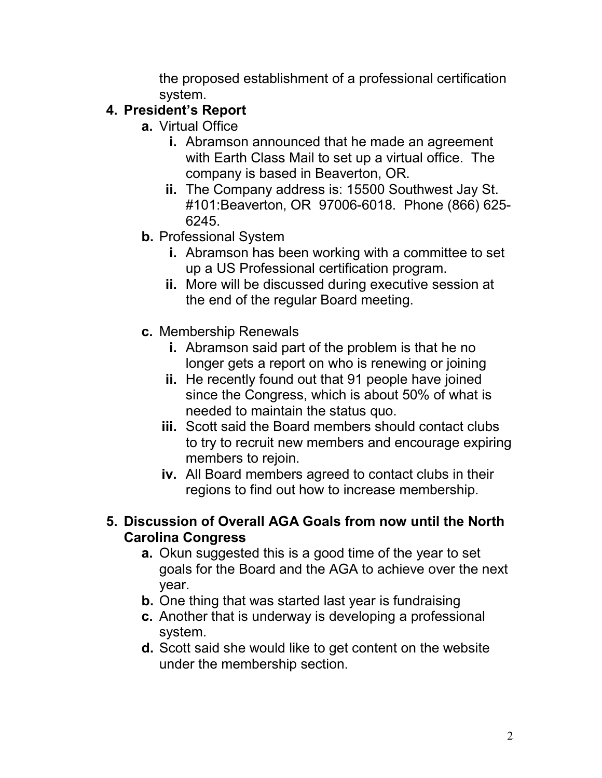the proposed establishment of a professional certification system.

#### **4. President's Report**

- **a.** Virtual Office
	- **i.** Abramson announced that he made an agreement with Earth Class Mail to set up a virtual office. The company is based in Beaverton, OR.
	- **ii.** The Company address is: 15500 Southwest Jay St. #101:Beaverton, OR 97006-6018. Phone (866) 625- 6245.
- **b.** Professional System
	- **i.** Abramson has been working with a committee to set up a US Professional certification program.
	- **ii.** More will be discussed during executive session at the end of the regular Board meeting.
- **c.** Membership Renewals
	- **i.** Abramson said part of the problem is that he no longer gets a report on who is renewing or joining
	- **ii.** He recently found out that 91 people have joined since the Congress, which is about 50% of what is needed to maintain the status quo.
	- **iii.** Scott said the Board members should contact clubs to try to recruit new members and encourage expiring members to rejoin.
	- **iv.** All Board members agreed to contact clubs in their regions to find out how to increase membership.

#### **5. Discussion of Overall AGA Goals from now until the North Carolina Congress**

- **a.** Okun suggested this is a good time of the year to set goals for the Board and the AGA to achieve over the next year.
- **b.** One thing that was started last year is fundraising
- **c.** Another that is underway is developing a professional system.
- **d.** Scott said she would like to get content on the website under the membership section.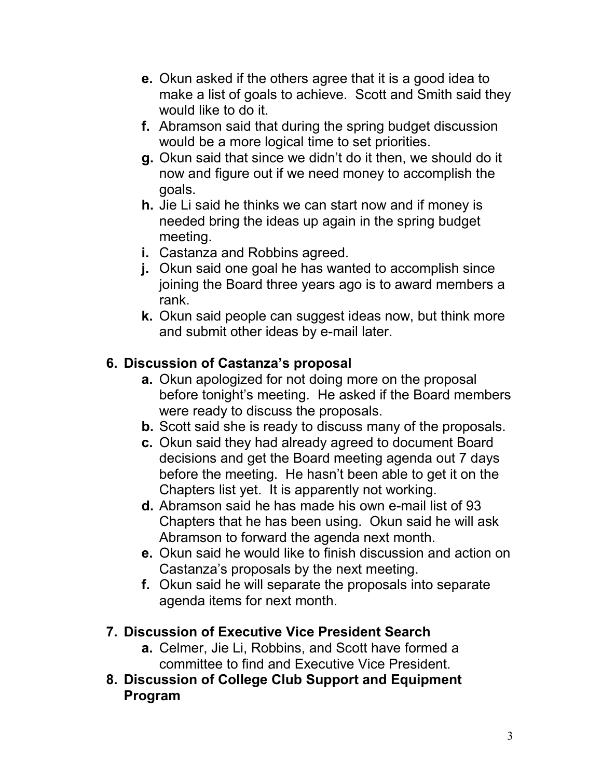- **e.** Okun asked if the others agree that it is a good idea to make a list of goals to achieve. Scott and Smith said they would like to do it.
- **f.** Abramson said that during the spring budget discussion would be a more logical time to set priorities.
- **g.** Okun said that since we didn't do it then, we should do it now and figure out if we need money to accomplish the goals.
- **h.** Jie Li said he thinks we can start now and if money is needed bring the ideas up again in the spring budget meeting.
- **i.** Castanza and Robbins agreed.
- **j.** Okun said one goal he has wanted to accomplish since joining the Board three years ago is to award members a rank.
- **k.** Okun said people can suggest ideas now, but think more and submit other ideas by e-mail later.

### **6. Discussion of Castanza's proposal**

- **a.** Okun apologized for not doing more on the proposal before tonight's meeting. He asked if the Board members were ready to discuss the proposals.
- **b.** Scott said she is ready to discuss many of the proposals.
- **c.** Okun said they had already agreed to document Board decisions and get the Board meeting agenda out 7 days before the meeting. He hasn't been able to get it on the Chapters list yet. It is apparently not working.
- **d.** Abramson said he has made his own e-mail list of 93 Chapters that he has been using. Okun said he will ask Abramson to forward the agenda next month.
- **e.** Okun said he would like to finish discussion and action on Castanza's proposals by the next meeting.
- **f.** Okun said he will separate the proposals into separate agenda items for next month.

#### **7. Discussion of Executive Vice President Search**

- **a.** Celmer, Jie Li, Robbins, and Scott have formed a committee to find and Executive Vice President.
- **8. Discussion of College Club Support and Equipment Program**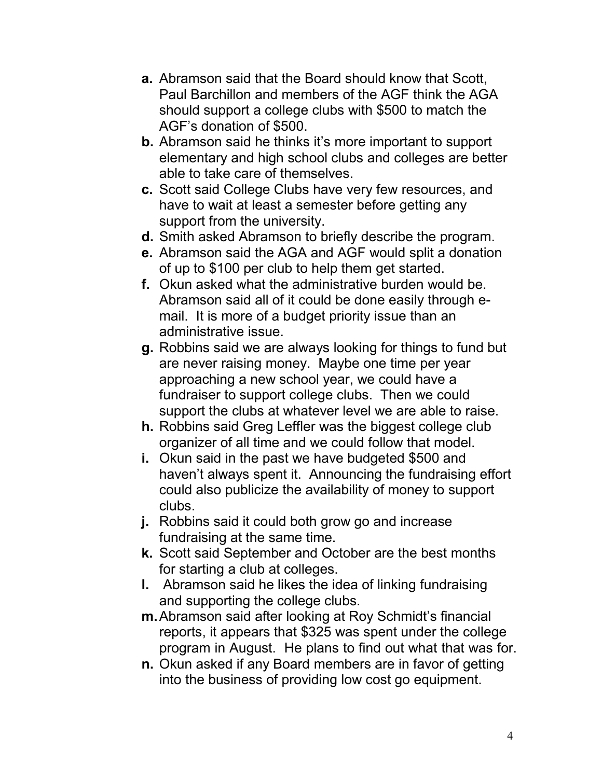- **a.** Abramson said that the Board should know that Scott, Paul Barchillon and members of the AGF think the AGA should support a college clubs with \$500 to match the AGF's donation of \$500.
- **b.** Abramson said he thinks it's more important to support elementary and high school clubs and colleges are better able to take care of themselves.
- **c.** Scott said College Clubs have very few resources, and have to wait at least a semester before getting any support from the university.
- **d.** Smith asked Abramson to briefly describe the program.
- **e.** Abramson said the AGA and AGF would split a donation of up to \$100 per club to help them get started.
- **f.** Okun asked what the administrative burden would be. Abramson said all of it could be done easily through email. It is more of a budget priority issue than an administrative issue.
- **g.** Robbins said we are always looking for things to fund but are never raising money. Maybe one time per year approaching a new school year, we could have a fundraiser to support college clubs. Then we could support the clubs at whatever level we are able to raise.
- **h.** Robbins said Greg Leffler was the biggest college club organizer of all time and we could follow that model.
- **i.** Okun said in the past we have budgeted \$500 and haven't always spent it. Announcing the fundraising effort could also publicize the availability of money to support clubs.
- **j.** Robbins said it could both grow go and increase fundraising at the same time.
- **k.** Scott said September and October are the best months for starting a club at colleges.
- **l.** Abramson said he likes the idea of linking fundraising and supporting the college clubs.
- **m.** Abramson said after looking at Roy Schmidt's financial reports, it appears that \$325 was spent under the college program in August. He plans to find out what that was for.
- **n.** Okun asked if any Board members are in favor of getting into the business of providing low cost go equipment.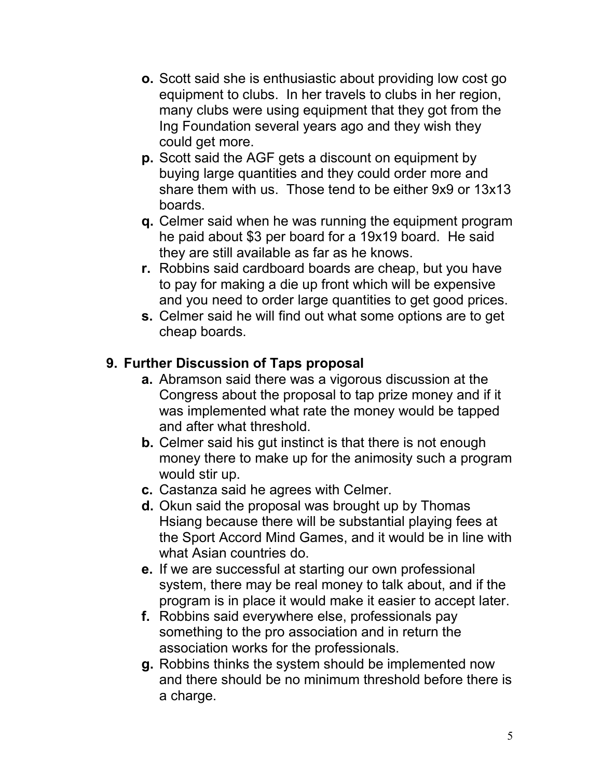- **o.** Scott said she is enthusiastic about providing low cost go equipment to clubs. In her travels to clubs in her region, many clubs were using equipment that they got from the Ing Foundation several years ago and they wish they could get more.
- **p.** Scott said the AGF gets a discount on equipment by buying large quantities and they could order more and share them with us. Those tend to be either 9x9 or 13x13 boards.
- **q.** Celmer said when he was running the equipment program he paid about \$3 per board for a 19x19 board. He said they are still available as far as he knows.
- **r.** Robbins said cardboard boards are cheap, but you have to pay for making a die up front which will be expensive and you need to order large quantities to get good prices.
- **s.** Celmer said he will find out what some options are to get cheap boards.

#### **9. Further Discussion of Taps proposal**

- **a.** Abramson said there was a vigorous discussion at the Congress about the proposal to tap prize money and if it was implemented what rate the money would be tapped and after what threshold.
- **b.** Celmer said his gut instinct is that there is not enough money there to make up for the animosity such a program would stir up.
- **c.** Castanza said he agrees with Celmer.
- **d.** Okun said the proposal was brought up by Thomas Hsiang because there will be substantial playing fees at the Sport Accord Mind Games, and it would be in line with what Asian countries do.
- **e.** If we are successful at starting our own professional system, there may be real money to talk about, and if the program is in place it would make it easier to accept later.
- **f.** Robbins said everywhere else, professionals pay something to the pro association and in return the association works for the professionals.
- **g.** Robbins thinks the system should be implemented now and there should be no minimum threshold before there is a charge.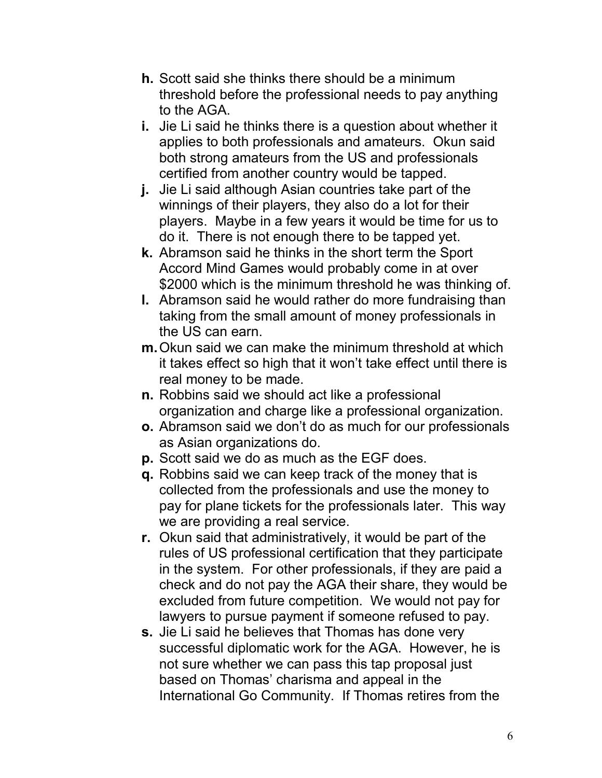- **h.** Scott said she thinks there should be a minimum threshold before the professional needs to pay anything to the AGA.
- **i.** Jie Li said he thinks there is a question about whether it applies to both professionals and amateurs. Okun said both strong amateurs from the US and professionals certified from another country would be tapped.
- **j.** Jie Li said although Asian countries take part of the winnings of their players, they also do a lot for their players. Maybe in a few years it would be time for us to do it. There is not enough there to be tapped yet.
- **k.** Abramson said he thinks in the short term the Sport Accord Mind Games would probably come in at over \$2000 which is the minimum threshold he was thinking of.
- **l.** Abramson said he would rather do more fundraising than taking from the small amount of money professionals in the US can earn.
- **m.** Okun said we can make the minimum threshold at which it takes effect so high that it won't take effect until there is real money to be made.
- **n.** Robbins said we should act like a professional organization and charge like a professional organization.
- **o.** Abramson said we don't do as much for our professionals as Asian organizations do.
- **p.** Scott said we do as much as the EGF does.
- **q.** Robbins said we can keep track of the money that is collected from the professionals and use the money to pay for plane tickets for the professionals later. This way we are providing a real service.
- **r.** Okun said that administratively, it would be part of the rules of US professional certification that they participate in the system. For other professionals, if they are paid a check and do not pay the AGA their share, they would be excluded from future competition. We would not pay for lawyers to pursue payment if someone refused to pay.
- **s.** Jie Li said he believes that Thomas has done very successful diplomatic work for the AGA. However, he is not sure whether we can pass this tap proposal just based on Thomas' charisma and appeal in the International Go Community. If Thomas retires from the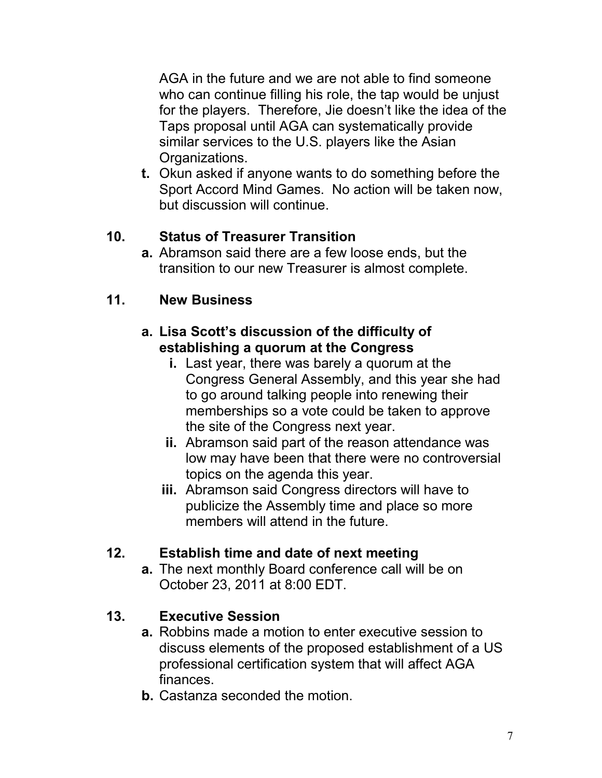AGA in the future and we are not able to find someone who can continue filling his role, the tap would be unjust for the players. Therefore, Jie doesn't like the idea of the Taps proposal until AGA can systematically provide similar services to the U.S. players like the Asian Organizations.

**t.** Okun asked if anyone wants to do something before the Sport Accord Mind Games. No action will be taken now, but discussion will continue.

#### **10. Status of Treasurer Transition**

**a.** Abramson said there are a few loose ends, but the transition to our new Treasurer is almost complete.

#### **11. New Business**

#### **a. Lisa Scott's discussion of the difficulty of establishing a quorum at the Congress**

- **i.** Last year, there was barely a quorum at the Congress General Assembly, and this year she had to go around talking people into renewing their memberships so a vote could be taken to approve the site of the Congress next year.
- **ii.** Abramson said part of the reason attendance was low may have been that there were no controversial topics on the agenda this year.
- **iii.** Abramson said Congress directors will have to publicize the Assembly time and place so more members will attend in the future.

#### **12. Establish time and date of next meeting**

**a.** The next monthly Board conference call will be on October 23, 2011 at 8:00 EDT.

#### **13. Executive Session**

- **a.** Robbins made a motion to enter executive session to discuss elements of the proposed establishment of a US professional certification system that will affect AGA finances.
- **b.** Castanza seconded the motion.